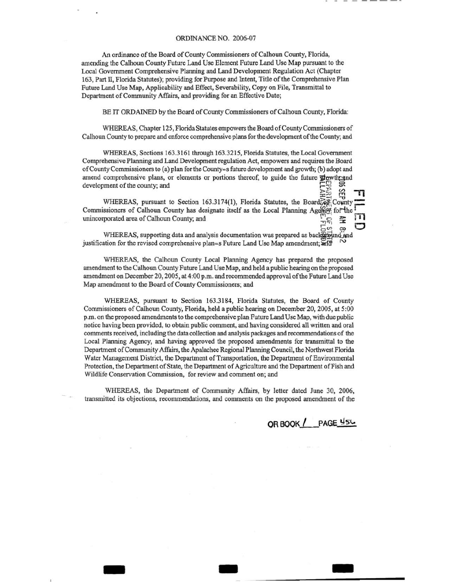# ORDINANCE NO. 2006-07

An ordinance of the Board of County Commissioners of Calhoun County, Florida, amending the Calhoun County Future Land Use Element Future Land Use Map pursuant to the Local Government Comprehensive Planning and Land Development Regulation Act (Chapter 163, Part ll, Florida Statutes); providing for Purpose and Intent, Title of the Comprehensive Plan Future Land Use Map, Applicability and Effect, Severability, Copy on File, Transmittal to Department of Community Affairs, and providing for an Effective Date;

BE IT ORDAINED by the Board of County Commissioners of Calhoun County, Florida:

WHEREAS, Chapter 125, Florida Statutes empowers the Board of County Commissioners of Calhoun County to prepare and enforce comprehensive plans for the development of the County; and

WHEREAS, Sections 163.3161 through 163.3215, Florida Statutes, the Local Government Comprehensive Planning and Land Development regulation Act, empowers and requires the Board of County Commissioners to (a) plan for the County=s future development and growth; (b) adopt and amend comprehensive plans, or elements or portions thereof, to guide the future  $\frac{1}{2}$  exercise development of the county; and  $\mathbf{F}^{\text{max}}_{\text{max}}$ 

는 ? - <del>"</del> 미 WHEREAS, pursuant to Section 163.3174(1), Florida Statutes, the Board  $\mathbb{R}$  County Commissioners of Calhoun County has designate itself as the Local Planning Agency for the **runder** unincorporated area of Calhoun County; and unincorporated area of Calhoun County; and ...,...,

WHEREAS, supporting data and analysis documentation was prepared as back@ound and justification for the revised comprehensive plan=s Future Land Use Map amendment;  $\overline{a}$ fd

WHEREAS, the Calhoun County Local Planning Agency has prepared the proposed amendment to the Calhoun County Future Land Use Map, and held a public hearing on the proposed amendment on December 20, 2005, at 4:00 p.m. and recommended approval of the Future Land Use Map amendment to the Board of County Commissioners; and

WHEREAS, pursuant to Section 163.3184, Florida Statutes, the Board of County Commissioners of Calhoun County, Florida, held a public hearing on December 20, 2005, at 5:00 p.m. on the proposed amendments to the comprehensive plan Future Land Use Map, with due public notice having been provided, to obtain public comment, and having considered all written and oral comments received, including the data collection and analysis packages and recommendations of the Local Planning Agency, and having approved the proposed amendments for transmittal to the Department of Community Affairs, the Apalachee Regional Planning Council, the Northwest Florida Water Management District, the Department of Transportation, the Department of Environmental Protection, the Department of State, the Department of Agriculture and the Department of Fish and Wildlife Conservation Commission, for review and comment on; and

WHEREAS, the Department of Community Affairs, by letter dated June 30, 2006, transmitted its objections, recommendations, and comments on the proposed amendment of the

- - -

OR BOOK / PAGE 456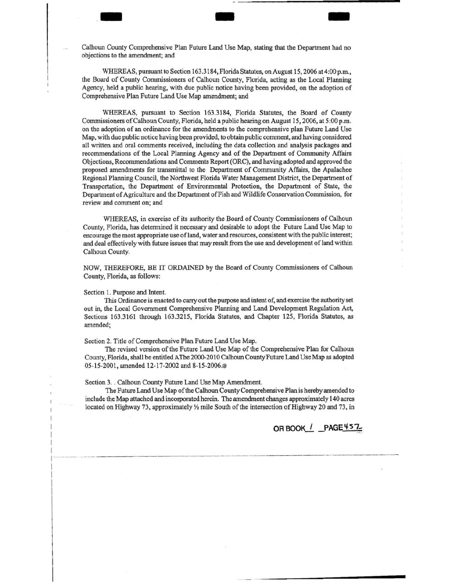Calhoun County Comprehensive Plan Future Land Use Map, stating that the Department had no objections to the amendment; and

-- - -

WHEREAS, pursuant to Section 163.3184, Florida Statutes, on August 15, 2006 at 4:00 p.m., the Board of County Commissioners of Calhoun County, Florida, acting as the Local Planning Agency, held a public hearing, with due public notice having been provided, on the adoption of Comprehensive Plan Future Land Use Map amendment; and

WHEREAS, pursuant to Section 163.3184, Florida Statutes, the Board of County Commissioners of Calhoun County, Florida, held a public hearing on August 15, 2006, at 5:00 p.m. on the adoption of an ordinance for the amendments to the comprehensive plan Future Land Use Map, with due public notice having been provided, to obtain public comment, and having considered all written and oral comments received, including the data collection and analysis packages and recommendations of the Local Planning Agency and of the Department of Community Affairs Objections, Recommendations and Comments Report (ORC), and having adopted and approved the proposed amendments for transmittal to the Department of Community Affairs, the Apalachee Regional Planning Council, the Northwest Florida Water Management District, the Department of Transportation, the Department of Environmental Protection, the Department of State, the Department of Agriculture and the Department ofFish and Wildlife Conservation Commission, for review and comment on; and

WHEREAS, in exercise of its authority the Board of County Commissioners of Calhoun County, Florida, has determined it necessary and desirable to adopt the Future Land Use Map to encourage the most appropriate use ofland, water and resources, consistent with the public interest; and deal effectively with future issues that may result from the use and development of land within Calhoun County.

NOW, THEREFORE, BE IT ORDAINED by the Board of County Commissioners of Calhoun County, Florida, as follows:

Section 1. Purpose and Intent.

·- -· ·-----------------

This Ordinance is enacted to carry out the purpose and intent of, and exercise the authority set out in, the Local Government Comprehensive Planning and Land Development Regulation Act, Sections 163.3161 through 163.3215, Florida Statutes, and Chapter 125, Florida Statutes, as amended;

Section 2. Title of Comprehensive Plan Future Land Use Map.

The revised version of the Future Land Use Map of the Comprehensive Plan for Calhoun County, Florida, shall be entitled A The 2000-2010 Calhoun County Future Land Use Map as adopted 05-15-2001, amended 12-17-2002 and 8-15-2006.®

Section 3. . Calhoun County Future Land Use Map Amendment.

The Future Land Use Map of the Calhoun County Comprehensive Plan is hereby amended to include the Map attached and incorporated herein. The amendment changes approximately 140 acres located on Highway 73, approximately  $\frac{1}{2}$  mile South of the intersection of Highway 20 and 73, in

**OR BOOK / \_PAGE 457\_**